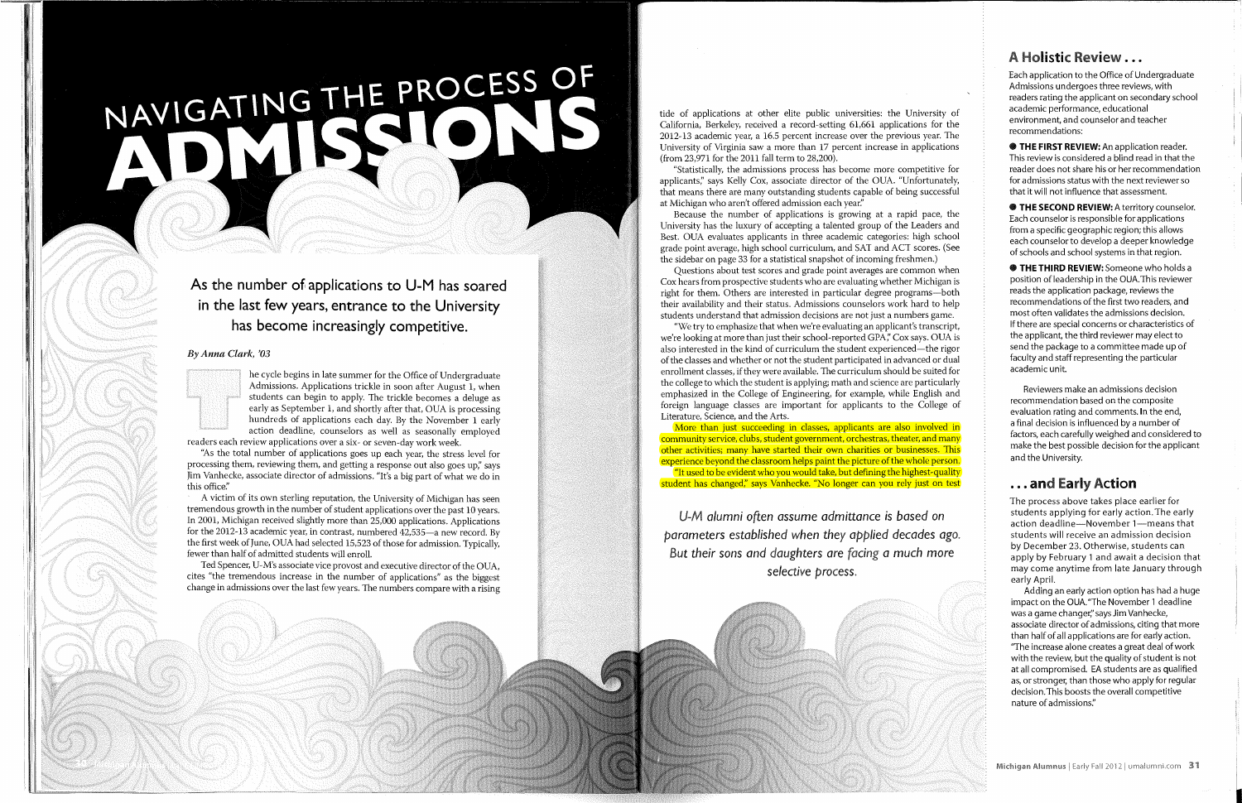# NAVIGATING THE PROCESS OF

# As the number of applications to U-M has soared in the last few years, entrance to the University has become increasingly competitive.

### *By Anna Clark, '03*



he cycle begins in late summer for the Office of Undergraduate Admissions. Applications trickle in soon after August 1, when students can begin to apply. The trickle becomes a deluge as early as September 1, and shortly after that, OUA is processing hundreds of applications each day. By the November 1 early action deadline, counselors as well as seasonally employed readers each review applications over a six- or seven-day work week.

"As the total number of applications goes up each year, the stress level for processing them, reviewing them, and getting a response out also goes up," says Jim Vanhecke, associate director of admissions. "It's a big part of what we do in this office."

Ted Spencer, U-M's associate vice provost and executive director of the OUA, cites "the tremendous increase in the number of applications" as the biggest change in admissions over the last few years. The numbers compare with a rising

A victim of its own sterling reputation, the University of Michigan has seen tremendous growth in the number of student applications over the past 10 years. In 2001, Michigan received slightly more than 25,000 applications. Applications for the 2012-13 academic year, in contrast, numbered 42,535—a new record. By the first week of June, OUA had selected 15,523 of those for admission. Typically, fewer than half of admitted students will enroll.

### **A Holistic Review...**

tide of applications at other elite public universities: the University of California, Berkeley, received a record-setting 61,661 applications for the 2012-13 academic year, a 16.5 percent increase over the previous year. The University of Virginia saw a more than 17 percent increase in applications (from 23,971 for the 2011 fall term to 28,200).

More than just succeeding in classes, applicants are also involved in community service, clubs, student government, orchestras, theater, and many other activities; many have started their own charities or businesses. This experience beyond the classroom helps paint the picture of the whole person. "It used to be evident who you would take, but defining the highest-quality student has changed," says Vanhecke. "No longer can you rely just on test

"Statistically, the admissions process has become more competitive for applicants," says Kelly Cox, associate director of the OUA. "Unfortunately, that means there are many outstanding students capable of being successful at Michigan who aren't offered admission each year."

**• THE FIRST REVIEW:** An application reader. This review is considered a blind read in that the reader does not share his or her recommendation for admissions status with the next reviewer so that it will not influence that assessment.

Because the number of applications is growing at a rapid pace, the University has the luxury of accepting a talented group of the Leaders and Best. OUA evaluates applicants in three academic categories: high school grade point average, high school curriculum, and SAT and ACT scores. (See the sidebar on page 33 for a statistical snapshot of incoming freshmen.)

**• THE SECOND REVIEW:** A territory counselor. Each counselor is responsible for applications from a specific geographic region; this allows each counselor to develop a deeper knowledge of schools and school systems in that region.

Questions about test scores and grade point averages are common when Cox hears from prospective students who are evaluating whether Michigan is right for them. Others are interested in particular degree programs—both their availability and their status. Admissions counselors work hard to help students understand that admission decisions are not just a numbers game.

"We try to emphasize that when we're evaluating an applicant's transcript, we're looking at more than just their school-reported GPA," Cox says. OUA is also interested in the kind of curriculum the student experienced—the rigor of the classes and whether or not the student participated in advanced or dual enrollment classes, if they were available. The curriculum should be suited for the college to which the student is applying; math and science are particularly emphasized in the College of Engineering, for example, while English and foreign language classes are important for applicants to the College of Literature, Science, and the Arts.

*U-M alumni often assume admittance* is *based on parameters established when they applied decades ago. But their sons and daughters are facing a much* more *selective process.* 

Each application to the Office of Undergraduate Admissions undergoes three reviews, with readers rating the applicant on secondary school academic performance, educational environment, and counselor and teacher recommendations:

**• THETHIRD REVIEW:** Someone who holds a position of leadership in the OUA. This reviewer reads the application package, reviews the recommendations of the first two readers, and most often validates the admissions decision. If there are special concerns or characteristics of the applicant, the third reviewer may elect to send the package to a committee made up of faculty and staff representing the particular academic unit.

Reviewers make an admissions decision recommendation based on the composite evaluation rating and comments. In the end, a final decision is influenced by a number of factors, each carefully weighed and considered to make the best possible decision for the applicant and the University.

### **. ..and Early Action**

The process above takes place earlier for students applying for early action. The early action deadline—November 1—means that students will receive an admission decision by December 23. Otherwise, students can apply by February 1 and await a decision that may come anytime from late January through early April.

Adding an early action option has had a huge impact on the OUA."The November 1 deadline was a game changer," says Jim Vanhecke, associate director of admissions, citing that more than half of all applications are for early action. "The increase alone creates a great deal of work with the review, but the quality of student is not at all compromised. EA students are as qualified as, or stronger, than those who apply for regular decision. This boosts the overall competitive nature of admissions."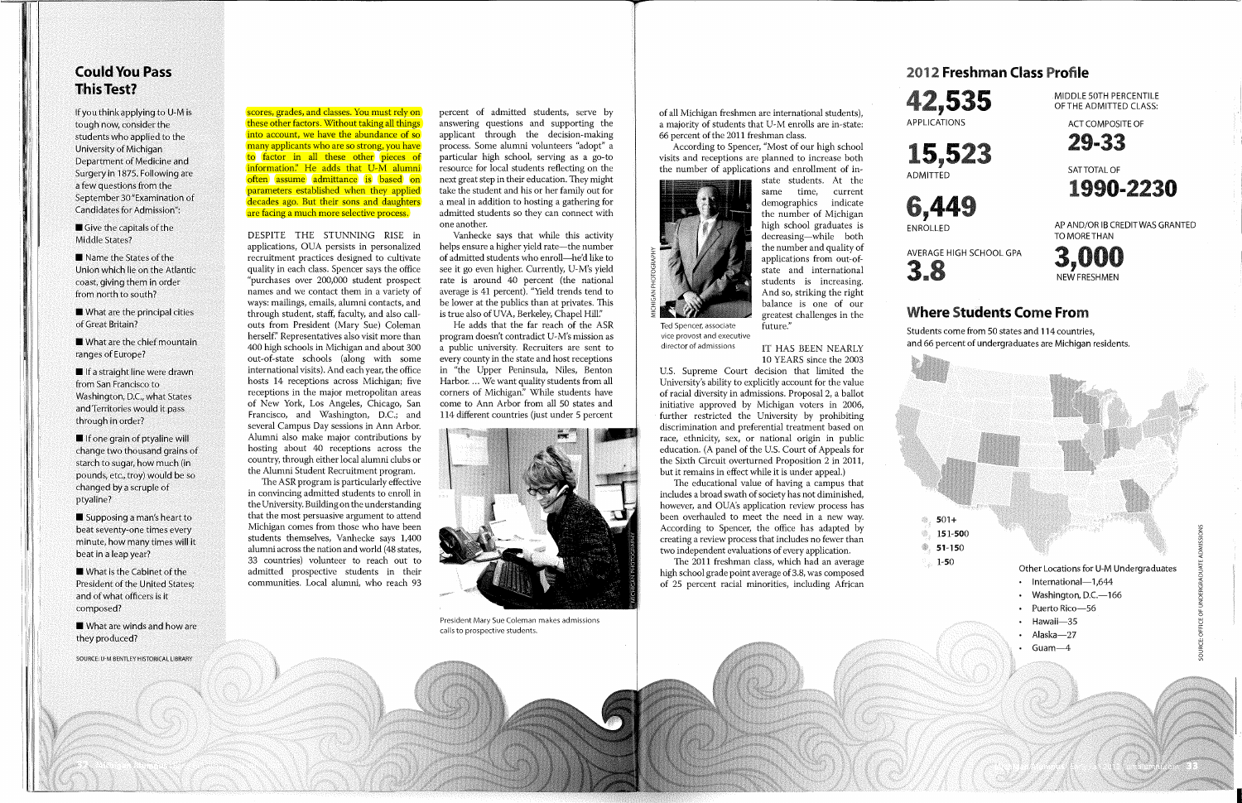### **Could You Pass This Test?**

If you think applying to U-M is tough now, consider the students who applied to the University of Michigan Department of Medicine and Surgery in 1875. Following are a few questions from the September 30 "Examination of Candidates for Admission":

 $\blacksquare$  Give the capitals of the Middle States?

■ Name the States of the Union which lie on the Atlantic coast, giving them in order from north to south?

 $\blacksquare$  What are the principal cities of Great Britain?

 $\blacksquare$  What are the chief mountain ranges of Europe?

 $\blacksquare$  If a straight line were drawn from San Francisco to Washington, D.C., what States and Territories would it pass through in order?

 $\blacksquare$  If one grain of ptyaline will change two thousand grains of starch to sugar, how much (in pounds, etc., troy) would be so changed by a scruple of ptyaline?

 $\blacksquare$  Supposing a man's heart to beat seventy-one times every minute, how many times will it beat in a leap year?

 $\blacksquare$  What is the Cabinet of the President of the United States; and of what officers is it composed?

**U** What are winds and how are they produced?

scores, grades, and classes. You must rely on these other factors. Without taking all things into account, we have the abundance of so many applicants who are so strong, you have to factor in all these other pieces of information." He adds that U-M alumni often assume admittance is based on parameters established when they applied decades ago. But their sons and daughters are facing a much more selective process.

DESPITE THE STUNNING RISE in applications, OUA persists in personalized recruitment practices designed to cultivate quality in each class. Spencer says the office "purchases over 200,000 student prospect names and we contact them in a variety of ways: mailings, emails, alumni contacts, and through student, staff, faculty, and also callouts from President (Mary Sue) Coleman herself" Representatives also visit more than 400 high schools in Michigan and about 300 out-of-state schools (along with some international visits). And each year, the office hosts 14 receptions across Michigan; five receptions in the major metropolitan areas of New York, Los Angeles, Chicago, San Francisco, and Washington, D.C.; and several Campus Day sessions in Ann Arbor. Alumni also make major contributions by hosting about 40 receptions across the country, through either local alumni clubs or the Alumni Student Recruitment program.

**vice provost and executive**  director of admissions

IT HAS BEEN NEARLY 10 YEARS since the 2003

The ASR program is particularly effective in convincing admitted students to enroll in the University. Building on the understanding that the most persuasive argument to attend Michigan comes from those who have been students themselves, Vanhecke says 1,400 alumni across the nation and world (48 states, 33 countries) volunteer to reach out to admitted prospective students in their communities. Local alumni, who reach 93

percent of admitted students, serve by answering questions and supporting the applicant through the decision-making process. Some alumni volunteers "adopt" a particular high school, serving as a go-to resource for local students reflecting on the next great step in their education. They might take the student and his or her family out for a meal in addition to hosting a gathering for admitted students so they can connect with one another.

Vanhecke says that while this activity helps ensure a higher yield rate—the number of admitted students who enroll—he'd like to see it go even higher. Currently, U-M's yield rate is around 40 percent (the national average is 41 percent). "Yield trends tend to be lower at the publics than at privates. This is true also of UVA, Berkeley, Chapel Hill."

He adds that the far reach of the ASR program doesn't contradict U-M's mission as a public university. Recruiters are sent to every county in the state and host receptions in "the Upper Peninsula, Niles, Benton Harbor.... We want quality students from all corners of Michigan." While students have come to Ann Arbor from all 50 states and 114 different countries (just under 5 percent



**President Mary Sue Coleman makes admissions calls to prospective students.** 

SOURCE: U-M BENTLEY HISTORICAL LIBRARY

*m* 

## **2012 Freshman Class Profile**

of all Michigan freshmen are international students), a majority of students that U-M enrolls are in-state: 66 percent of the 2011 freshman class.

According to Spencer, "Most of our high school visits and receptions are planned to increase both the number of applications and enrollment of in-

> state students. At the same time, current demographics indicate the number of Michigan high school graduates is decreasing—while both the number and quality of applications from out-ofstate and international students is increasing. And so, striking the right balance is one of our greatest challenges in the



U.S. Supreme Court decision that limited the University's ability to explicitly account for the value of racial diversity in admissions. Proposal 2, a ballot initiative approved by Michigan voters in 2006, further restricted the University by prohibiting discrimination and preferential treatment based on race, ethnicity, sex, or national origin in public education. (A panel of the U.S. Court of Appeals for the Sixth Circuit overturned Proposition 2 in 2011, but it remains in effect while it is under appeal.)

The educational value of having a campus that includes a broad swath of society has not diminished, however, and OUA's application review process has been overhauled to meet the need in a new way. According to Spencer, the office has adapted by creating a review process that includes no fewer than two independent evaluations of every application.

The 2011 freshman class, which had an average high school grade point average of 3.8, was composed of 25 percent racial minorities, including African **42,535**  APPLICATIONS





AVERAGE HIGH SCHOOL GPA

MIDDLE 50TH PERCENTILE OF THE ADMITTED CLASS:

ACT COMPOSITE OF



SAT TOTAL OF



AP AND/OR IB CREDIT WAS GRANTED TO MORE THAN

**3a8** 



### **Where Students Come From**

Students come from 50 states and 114 countries, and 66 percent of undergraduates are Michigan residents.